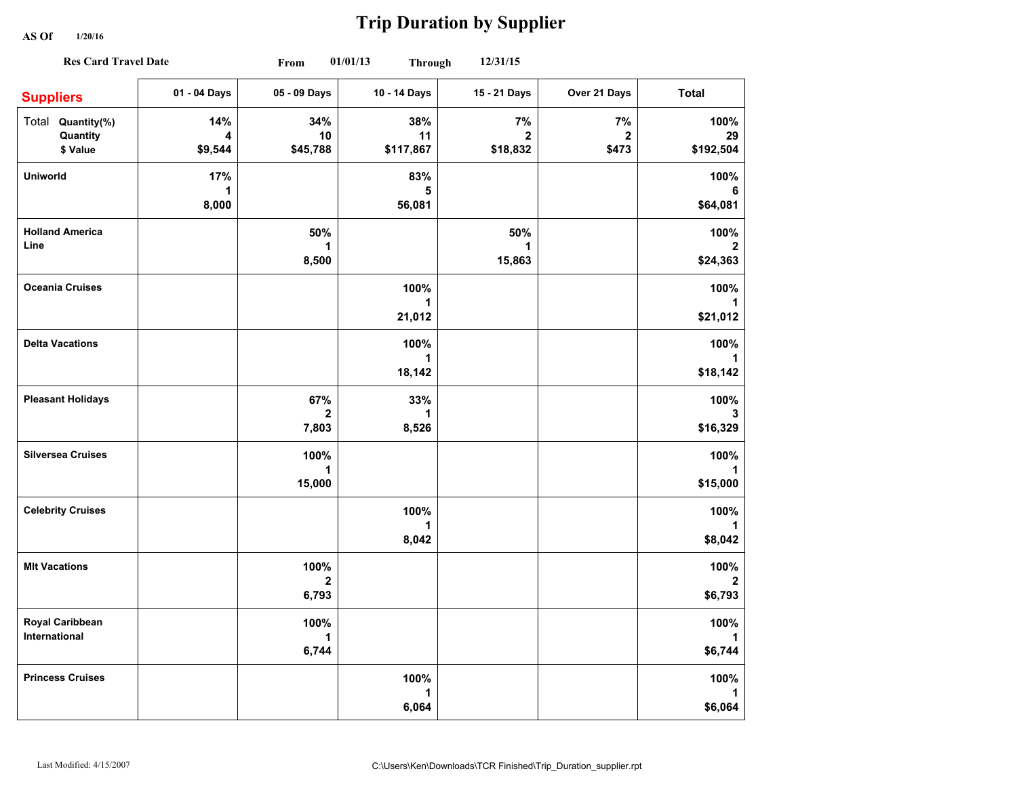**AS Of 1/20/16**

## **Trip Duration by Supplier**

| <b>Res Card Travel Date</b>               |                     | 01/01/13<br>12/31/15<br>From<br><b>Through</b> |                                |                                |                             |                                   |
|-------------------------------------------|---------------------|------------------------------------------------|--------------------------------|--------------------------------|-----------------------------|-----------------------------------|
| <b>Suppliers</b>                          | 01 - 04 Days        | 05 - 09 Days                                   | 10 - 14 Days                   | 15 - 21 Days                   | Over 21 Days                | <b>Total</b>                      |
| Total Quantity(%)<br>Quantity<br>\$ Value | 14%<br>4<br>\$9,544 | 34%<br>10<br>\$45,788                          | 38%<br>11<br>\$117,867         | 7%<br>$\mathbf{2}$<br>\$18,832 | 7%<br>$\mathbf{2}$<br>\$473 | 100%<br>29<br>\$192,504           |
| <b>Uniworld</b>                           | 17%<br>1<br>8,000   |                                                | 83%<br>5<br>56,081             |                                |                             | 100%<br>6<br>\$64,081             |
| <b>Holland America</b><br>Line            |                     | 50%<br>1<br>8,500                              |                                | 50%<br>1<br>15,863             |                             | 100%<br>2<br>\$24,363             |
| <b>Oceania Cruises</b>                    |                     |                                                | 100%<br>1<br>21,012            |                                |                             | 100%<br>1<br>\$21,012             |
| <b>Delta Vacations</b>                    |                     |                                                | 100%<br>$\mathbf{1}$<br>18,142 |                                |                             | 100%<br>1<br>\$18,142             |
| <b>Pleasant Holidays</b>                  |                     | 67%<br>$\mathbf{2}$<br>7,803                   | 33%<br>1<br>8,526              |                                |                             | 100%<br>3<br>\$16,329             |
| <b>Silversea Cruises</b>                  |                     | 100%<br>1<br>15,000                            |                                |                                |                             | 100%<br>\$15,000                  |
| <b>Celebrity Cruises</b>                  |                     |                                                | 100%<br>1<br>8,042             |                                |                             | 100%<br>1<br>\$8,042              |
| <b>MIt Vacations</b>                      |                     | 100%<br>$\mathbf{2}$<br>6,793                  |                                |                                |                             | 100%<br>$\overline{2}$<br>\$6,793 |
| Royal Caribbean<br>International          |                     | 100%<br>1<br>6,744                             |                                |                                |                             | 100%<br>1<br>\$6,744              |
| <b>Princess Cruises</b>                   |                     |                                                | 100%<br>1<br>6,064             |                                |                             | 100%<br>1<br>\$6,064              |